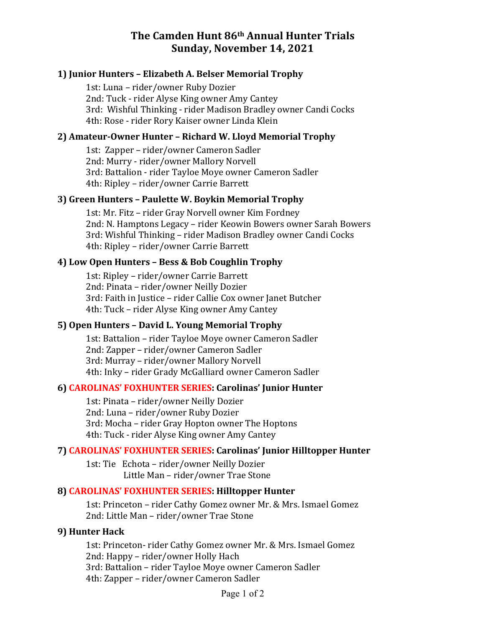# **The Camden Hunt 86th Annual Hunter Trials Sunday, November 14, 2021**

### **1) Junior Hunters – Elizabeth A. Belser Memorial Trophy**

1st: Luna - rider/owner Ruby Dozier 2nd: Tuck - rider Alyse King owner Amy Cantey 3rd: Wishful Thinking - rider Madison Bradley owner Candi Cocks 4th: Rose - rider Rory Kaiser owner Linda Klein

### **2) Amateur-Owner Hunter – Richard W. Lloyd Memorial Trophy**

1st: Zapper - rider/owner Cameron Sadler 2nd: Murry - rider/owner Mallory Norvell 3rd: Battalion - rider Tayloe Moye owner Cameron Sadler 4th: Ripley - rider/owner Carrie Barrett

### **3) Green Hunters – Paulette W. Boykin Memorial Trophy**

1st: Mr. Fitz - rider Gray Norvell owner Kim Fordney 2nd: N. Hamptons Legacy – rider Keowin Bowers owner Sarah Bowers 3rd: Wishful Thinking - rider Madison Bradley owner Candi Cocks 4th: Ripley - rider/owner Carrie Barrett

## **4) Low Open Hunters – Bess & Bob Coughlin Trophy**

1st: Ripley - rider/owner Carrie Barrett 2nd: Pinata - rider/owner Neilly Dozier 3rd: Faith in Justice - rider Callie Cox owner Janet Butcher 4th: Tuck – rider Alyse King owner Amy Cantey

### **5) Open Hunters – David L. Young Memorial Trophy**

1st: Battalion - rider Tayloe Moye owner Cameron Sadler 2nd: Zapper - rider/owner Cameron Sadler 3rd: Murray - rider/owner Mallory Norvell 4th: Inky - rider Grady McGalliard owner Cameron Sadler

# **6) CAROLINAS' FOXHUNTER SERIES: Carolinas' Junior Hunter**

1st: Pinata - rider/owner Neilly Dozier 2nd: Luna - rider/owner Ruby Dozier 3rd: Mocha - rider Gray Hopton owner The Hoptons 4th: Tuck - rider Alyse King owner Amy Cantey

# **7) CAROLINAS' FOXHUNTER SERIES: Carolinas' Junior Hilltopper Hunter**

1st: Tie Echota - rider/owner Neilly Dozier Little Man - rider/owner Trae Stone

### **8) CAROLINAS' FOXHUNTER SERIES: Hilltopper Hunter**

1st: Princeton - rider Cathy Gomez owner Mr. & Mrs. Ismael Gomez 2nd: Little Man - rider/owner Trae Stone

### **9) Hunter Hack**

1st: Princeton- rider Cathy Gomez owner Mr. & Mrs. Ismael Gomez 2nd: Happy – rider/owner Holly Hach 3rd: Battalion - rider Tayloe Moye owner Cameron Sadler 4th: Zapper - rider/owner Cameron Sadler